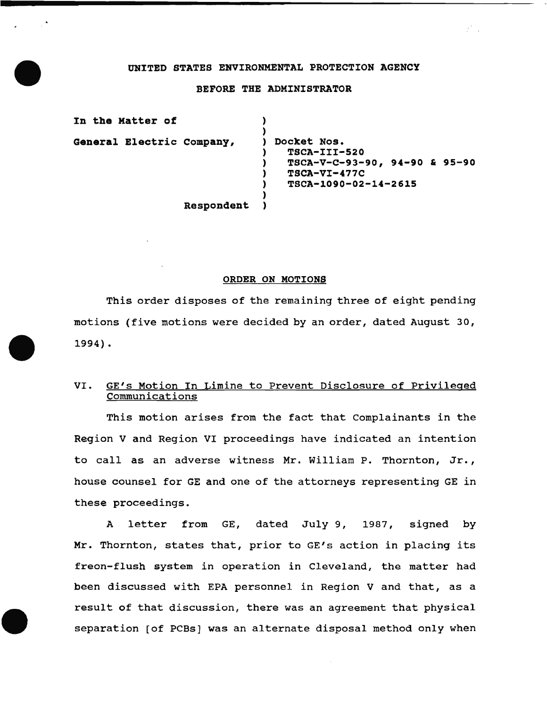#### UNITED STATES ENVIRONMENTAL PROTECTION AGENCY

#### BEFORE THE ADMINISTRATOR

| In the Matter of          |                                                                                                          |
|---------------------------|----------------------------------------------------------------------------------------------------------|
| General Electric Company, | Docket Nos.<br>TSCA-III-520<br>$TSCA-V-C-93-90, 94-90 & 95-90$<br>$TSCA-VI-477C$<br>TSCA-1090-02-14-2615 |
| Respondent                |                                                                                                          |

## ORDER ON MOTIONS

This order disposes of the remaining three of eight pending motions (five motions were decided by an order, dated August 30, 1994) •

# VI. GE's Motion In Limine to Prevent Disclosure of Privileged Communications

This motion arises from the fact that Complainants in the Region V and Region VI proceedings have indicated an intention to call as an adverse witness Mr. William P. Thornton, Jr., house counsel for GE and one of the attorneys representing GE in these proceedings.

A letter from GE, dated July 9, 1987, signed by Mr. Thornton, states that, prior to GE's action in placing its freon-flush system in operation in Cleveland, the matter had been discussed with EPA personnel in Region V and that, as a result of that discussion, there was an agreement that physical separation [of PCBs] was an alternate disposal method only when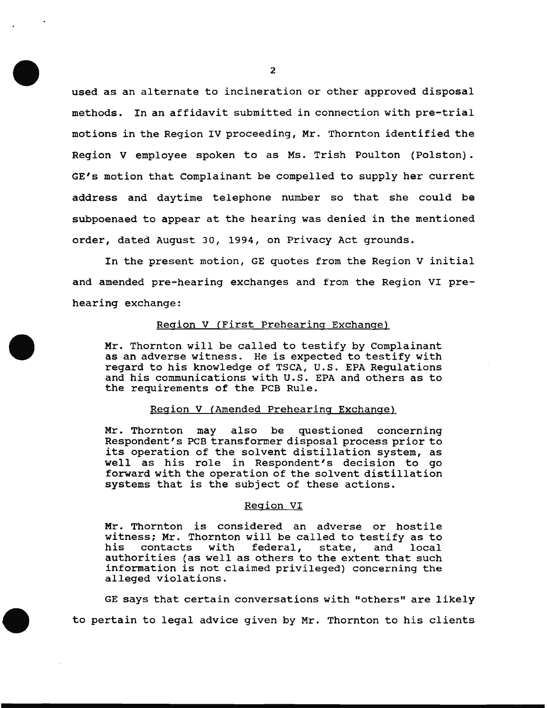used as an alternate to incineration or other approved disposal methods. In an affidavit submitted in connection with pre-trial motions in the Region IV proceeding, Mr. Thornton identified the Region V employee spoken to as Ms. Trish Poulton (Polston). GE's motion that Complainant be compelled to supply her current address and daytime telephone number so that she could be subpoenaed to appear at the hearing was denied in the mentioned order, dated August 30, 1994, on Privacy Act grounds.

In the present motion, GE quotes from the Region V initial and amended pre-hearing exchanges and from the Region VI prehearing exchange:

# Region V (First Prehearing Exchange)

Mr. Thornton will be called to testify by Complainant as an adverse witness. He is expected to testify with regard to his knowledge of TSCA, U.S. EPA Regulations and his communications with U.S. EPA and others as to the requirements of the PCB Rule.

### Region V (Amended Prehearing Exchange)

Mr. Thornton may also be questioned concerning Respondent's PCB transformer disposal process prior to its operation of the solvent distillation system, as well as his role in Respondent's decision to go forward with the operation of the solvent distillation systems that is the subject of these actions.

#### Region VI

Mr. Thornton is considered an adverse or hostile witness; Mr. Thornton will be called to testify as to<br>his contacts with federal, state, and local contacts with federal, state, and authorities (as well as others to the extent that such information is not claimed privileged) concerning the alleged violations.

GE says that certain conversations with "others" are likely to pertain to legal advice given by Mr. Thornton to his clients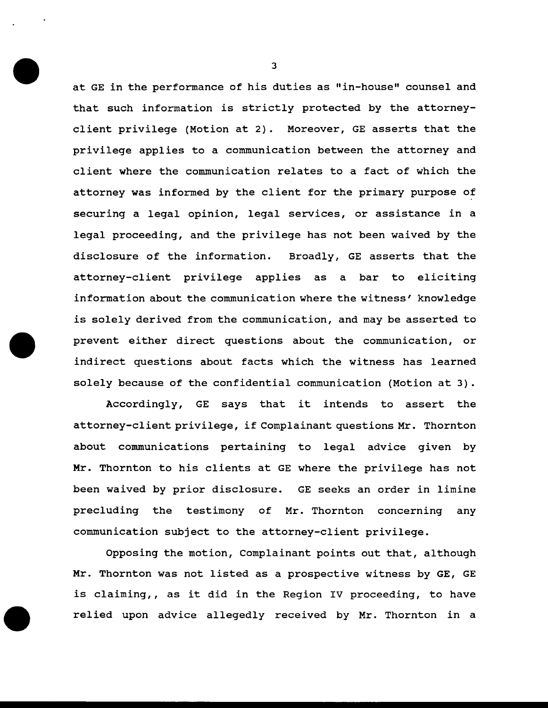at GE in the performance of his duties as "in-house" counsel and that such information is strictly protected by the attorneyclient privilege (Motion at 2). Moreover, GE asserts that the privilege applies to a communication between the attorney and client where the communication relates to a fact of which the attorney was informed by the client for the primary purpose of securing a legal opinion, legal services, or assistance in a legal proceeding, and the privilege has not been waived by the disclosure of the information. Broadly, GE asserts that the attorney-client privilege applies as a bar to eliciting information about the communication where the witness' knowledge is solely derived from the communication, and may be asserted to prevent either direct questions about the communication, or indirect questions about facts which the witness has learned solely because of the confidential communication (Motion at 3).

Accordingly, GE says that it intends to assert the attorney-client privilege, if Complainant questions Mr. Thornton about communications pertaining to legal advice given by Mr. Thornton to his clients at GE where the privilege has not been waived by prior disclosure. GE seeks an order in limine precluding the testimony of Mr. Thornton concerning any communication subject to the attorney-client privilege.

Opposing the motion, Complainant points out that, although Mr. Thornton was not listed as a prospective witness by GE, GE is claiming,, as it did in the Region IV proceeding, to have relied upon advice allegedly received by Mr. Thornton in a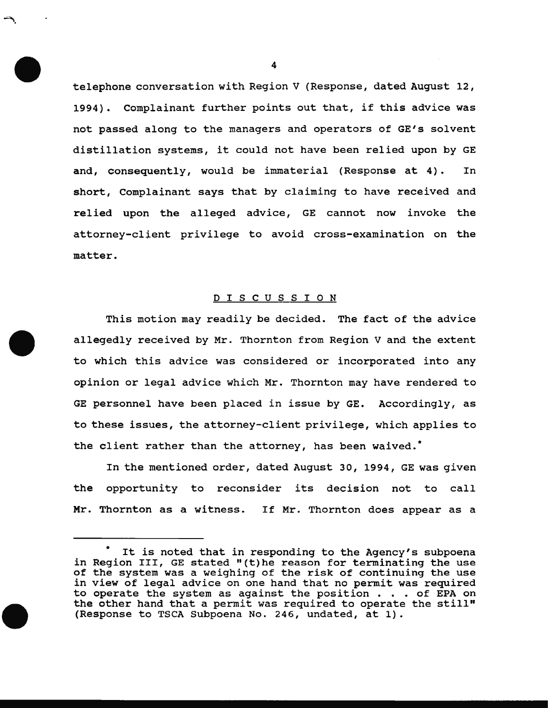telephone conversation with Region V (Response, dated August 12, 1994). Complainant further points out that, if this advice was not passed along to the managers and operators of GE's solvent distillation systems, it could not have been relied upon by GE and, consequently, would be immaterial (Response at 4). In short, Complainant says that by claiming to have received and relied upon the alleged advice, GE cannot now invoke the attorney-client privilege to avoid cross-examination on the matter.

## D I S C U S S I O N

This motion may readily be decided. The fact of the advice allegedly received by Mr. Thornton from Region V and the extent to which this advice was considered or incorporated into any opinion or legal advice which Mr. Thornton may have rendered to GE personnel have been placed in issue by GE. Accordingly, as to these issues, the attorney-client privilege, which applies to the client rather than the attorney, has been waived.\*

In the mentioned order, dated August 30, 1994, GE was given the opportunity to reconsider its decision not to call Mr. Thornton as a witness. If Mr. Thornton does appear as a

4

-=-..

It is noted that in responding to the Agency's subpoena in Region III, GE stated "(t)he reason for terminating the use of the system was a weighing of the risk of continuing the use *in* view of legal advice on one hand that no permit was required to operate the system as against the position . . . of EPA on the other hand that a permit was required to operate the still" (Response to TSCA Subpoena No. 246, undated, at 1).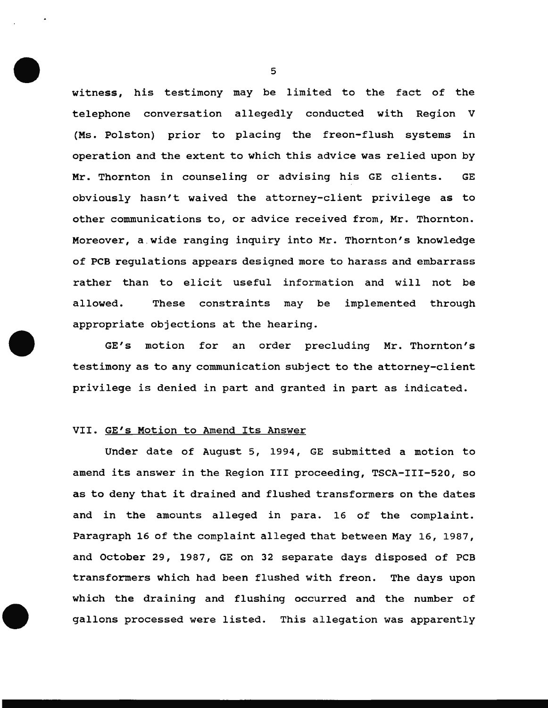witness, his testimony may be limited to the fact of the telephone conversation allegedly conducted with Region V (Ms. Polston) prior to placing the freon-flush systems in operation and the extent to which this advice was relied upon by Mr. Thornton in counseling or advising his GE clients. GE obviously hasn't waived the attorney-client privilege as to other communications to, or advice received from, Mr. Thornton. Moreover, a .wide ranging inquiry into Mr. Thornton's knowledge of PCB regulations appears designed more to harass and embarrass rather than to elicit useful information and will not be allowed. These constraints may be implemented through appropriate objections at the hearing.

GE's motion for an order precluding Mr. Thornton's testimony as to any communication subject to the attorney-client privilege is denied in part and granted in part as indicated.

## VII. GE's Motion to Amend Its Answer

Under date of August 5, 1994, GE submitted a motion to amend its answer in the Region III proceeding, TSCA-III-520, so as to deny that it drained and flushed transformers on the dates and in the amounts alleged in para. 16 of the complaint. Paragraph 16 of the complaint alleged that between May 16, 1987, and October 29, 1987, GE on 32 separate days disposed of PCB transformers which had been flushed with freon. The days upon which the draining and flushing occurred and the number of gallons processed were listed. This allegation was apparently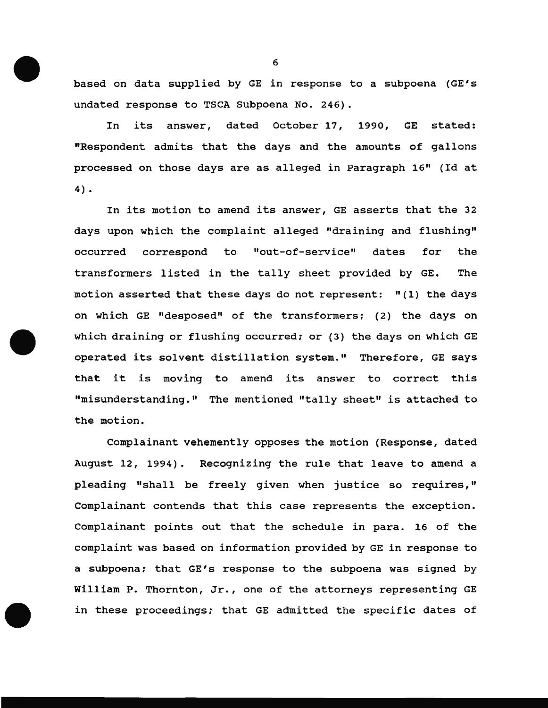based on data supplied by GE in response to a subpoena {GE's undated response to TSCA Subpoena No. 246).

In its answer, dated October 17, 1990, GE stated: "Respondent admits that the days and the amounts of gallons processed on those days are as alleged in Paragraph 16" {Id at 4) •

In its motion to amend its answer, GE asserts that the 32 days upon which the complaint alleged "draining and flushing" occurred correspond to "out-of-service" dates for the transformers listed in the tally sheet provided by GE. The motion asserted that these days do not represent: "{1) the days on which GE "desposed" of the transformers; { 2) the days on which draining or flushing occurred; or (3) the days on which GE operated its solvent distillation system." Therefore, GE says that it is moving to amend its answer to correct this "misunderstanding." The mentioned "tally sheet" is attached to the motion.

Complainant vehemently opposes the motion (Response, dated August 12, 1994). Recognizing the rule that leave to amend a pleading "shall be freely given when justice so requires," Complainant contends that this case represents the exception. Complainant points out that the schedule in para. 16 of the complaint was based on information provided by GE in response to a subpoena; that GE's response to the subpoena was signed by William P. Thornton, Jr., one of the attorneys representing GE in these proceedings; that GE admitted the specific dates of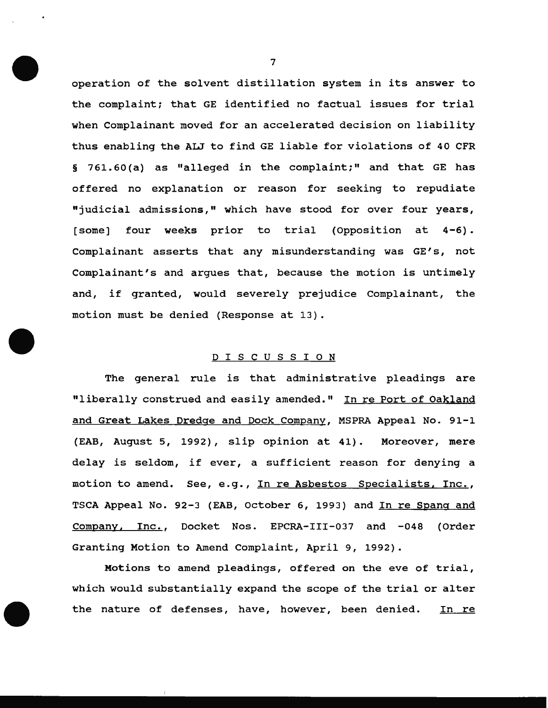operation of the solvent distillation system in its answer to the complaint; that GE identified no factual issues for trial when Complainant moved for an accelerated decision on liability thus enabling the ALJ to find GE liable for violations of 40 CFR § 761.60(a) as "alleged in the complaint;" and that GE has offered no explanation or reason for seeking to repudiate "judicial admissions," which have stood for over four years, [some] four weeks prior to trial (Opposition at 4-6). Complainant asserts that any misunderstanding was GE's, not Complainant's and argues that, because the motion is untimely and, if granted, would severely prejudice Complainant, the motion must be denied (Response at 13).

# D I S C U S S I O N

The general rule is that administrative pleadings are "liberally construed and easily amended." In re Port of Oakland and Great Lakes Dredge and Dock Company, MSPRA Appeal No. 91-1 (EAB, August 5, 1992), slip opinion at 41). Moreover, mere delay is seldom, if ever, a sufficient reason for denying a motion to amend. See, e.g., In re Asbestos Specialists, Inc., TSCA Appeal No. 92-3 (EAB, October 6, 1993) and In re Spang and Company, Inc., Docket Nos. EPCRA-III-037 and -048 (Order Granting Motion to Amend Complaint, April 9, 1992).

Motions to amend pleadings, offered on the eve of trial, which would substantially expand the scope of the trial or alter the nature of defenses, have, however, been denied. In re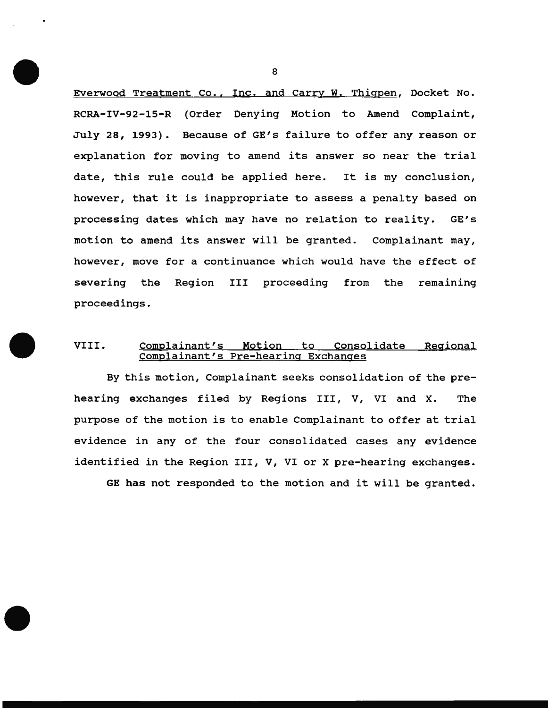Everwood Treatment Co., Inc. and Carry W. Thigpen, Docket No. RCRA-IV-92-15-R (Order Denying Motion to Amend Complaint, July 28, 1993). Because of GE's failure to offer any reason or explanation for moving to amend its answer so near the trial date, this rule could be applied here. It is my conclusion, however, that it is inappropriate to assess a penalty based on processing dates which may have no relation to reality. GE's motion to amend its answer will be granted. Complainant may, however, move for a continuance which would have the effect of severing the Region III proceeding from the remaining proceedings.

# VIII. Complainant's Motion to Consolidate Regional Complainant's Pre-hearing Exchanges

By this motion, Complainant seeks consolidation of the prehearing exchanges filed by Regions III, V, VI and X. The purpose of the motion is to enable Complainant to offer at trial evidence in any of the four consolidated cases any evidence identified in the Region III, V, VI or X pre-hearing exchanges.

GE has not responded to the motion and it will be granted.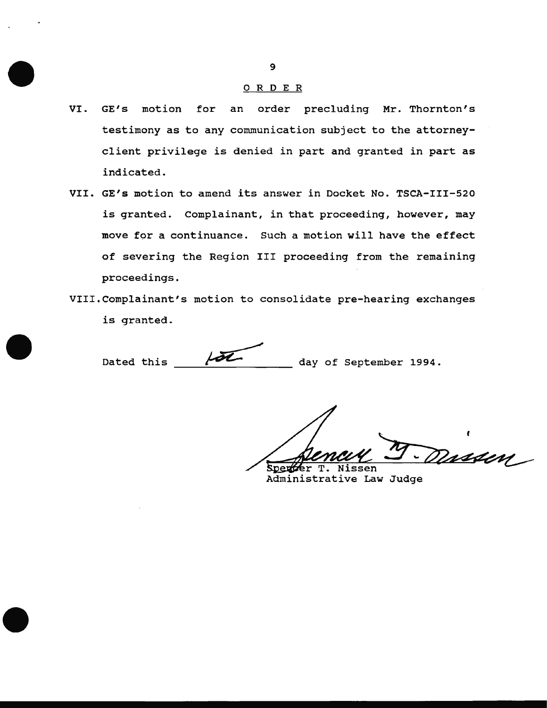#### 0 R DE <sup>R</sup>

- VI. GE's motion for an order precluding Mr. Thornton's testimony as to any communication subject to the attorneyclient privilege is denied in part and granted in part as indicated.
- VII. GE's motion to amend its answer in Docket No. TSCA-III-520 is granted. Complainant, in that proceeding, however, may move for a continuance. Such a motion will have the effect of severing the Region III proceeding from the remaining proceedings.
- VIII.Complainant's motion to consolidate pre-hearing exchanges is granted.

Dated this  $\sqrt{2}$  day of September 1994.

<u>nssen</u> Sperfer T. Ni ssen

Administrative Law Judge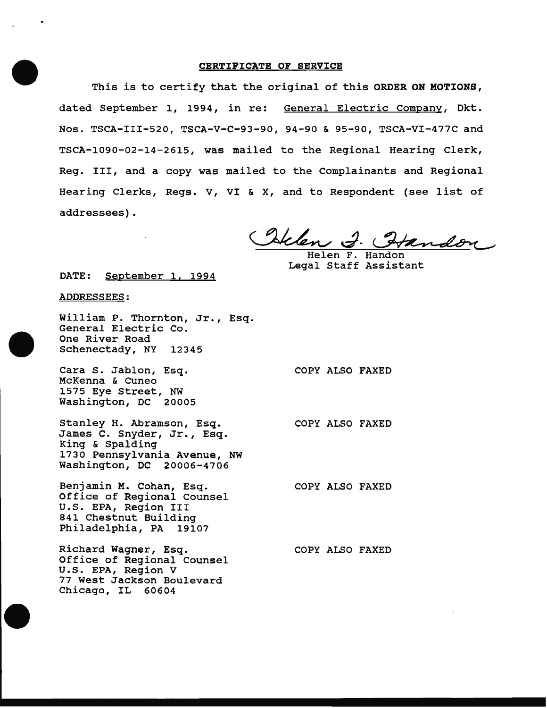#### CERTIFICATE OF SERVICE

This is to certify that the original of this ORDER ON MOTIONS, dated September 1, 1994, in re: General Electric Company, Dkt. Nos. TSCA-III-520, TSCA-V-C-93-90, 94-90 & 95-90, TSCA-VI-477C and TSCA-1090-02-14-2615, was mailed to the Regional Hearing Clerk, Reg. III, and a copy was mailed to the Complainants and Regional Hearing Clerks, Regs. V, VI & X, and to Respondent (see list of addressees).

Itelen J. Handon

Helen F. Handon Legal Staff Assistant

COPY ALSO FAXED

COPY ALSO FAXED

COPY ALSO FAXED

COPY ALSO FAXED

DATE: September 1, 1994

#### ADDRESSEES:

William P. Thornton, Jr., Esq. General Electric Co. One River Road Schenectady, NY 12345

Cara S. Jablon, Esq. McKenna & Cuneo 1575 Eye Street, NW Washington, DC 20005

Stanley H. Abramson, Esq. James c. Snyder, Jr., Esq. King & Spalding 1730 Pennsylvania Avenue, NW Washington, DC 20006-4706

Benjamin M. Cohan, Esq. Office of Regional Counsel U.S. EPA, Region III 841 Chestnut Building Philadelphia, PA 19107

Richard Wagner, Esq. Office of Regional Counsel U.S. EPA, Region V 77 West Jackson Boulevard Chicago, IL 60604